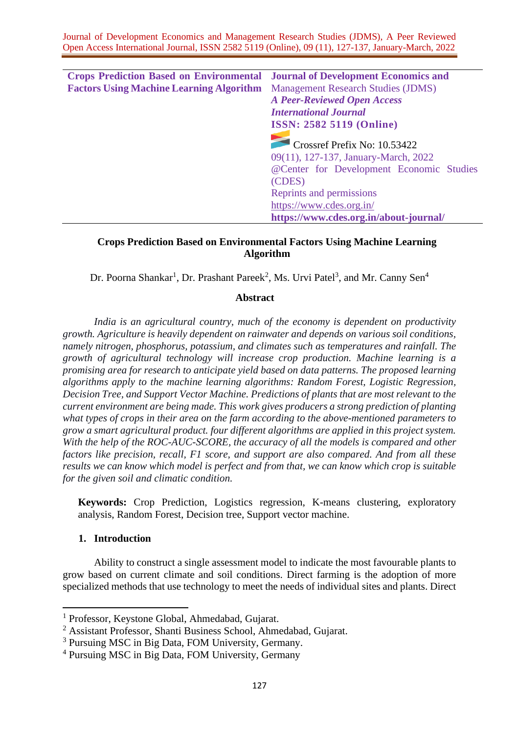| <b>Crops Prediction Based on Environmental Journal of Development Economics and</b> |                                           |
|-------------------------------------------------------------------------------------|-------------------------------------------|
| <b>Factors Using Machine Learning Algorithm</b>                                     | <b>Management Research Studies (JDMS)</b> |
|                                                                                     | <b>A Peer-Reviewed Open Access</b>        |
|                                                                                     | <b>International Journal</b>              |
|                                                                                     | <b>ISSN: 2582 5119 (Online)</b>           |
|                                                                                     |                                           |
|                                                                                     | Crossref Prefix No: 10.53422              |
|                                                                                     | 09(11), 127-137, January-March, 2022      |
|                                                                                     | @Center for Development Economic Studies  |
|                                                                                     | (CDES)                                    |
|                                                                                     | Reprints and permissions                  |
|                                                                                     | https://www.cdes.org.in/                  |
|                                                                                     | https://www.cdes.org.in/about-journal/    |

# **Crops Prediction Based on Environmental Factors Using Machine Learning Algorithm**

Dr. Poorna Shankar<sup>1</sup>, Dr. Prashant Pareek<sup>2</sup>, Ms. Urvi Patel<sup>3</sup>, and Mr. Canny Sen<sup>4</sup>

#### **Abstract**

*India is an agricultural country, much of the economy is dependent on productivity growth. Agriculture is heavily dependent on rainwater and depends on various soil conditions, namely nitrogen, phosphorus, potassium, and climates such as temperatures and rainfall. The growth of agricultural technology will increase crop production. Machine learning is a promising area for research to anticipate yield based on data patterns. The proposed learning algorithms apply to the machine learning algorithms: Random Forest, Logistic Regression, Decision Tree, and Support Vector Machine. Predictions of plants that are most relevant to the current environment are being made. This work gives producers a strong prediction of planting what types of crops in their area on the farm according to the above-mentioned parameters to grow a smart agricultural product. four different algorithms are applied in this project system. With the help of the ROC-AUC-SCORE, the accuracy of all the models is compared and other factors like precision, recall, F1 score, and support are also compared. And from all these results we can know which model is perfect and from that, we can know which crop is suitable for the given soil and climatic condition.*

**Keywords:** Crop Prediction, Logistics regression, K-means clustering, exploratory analysis, Random Forest, Decision tree, Support vector machine.

# **1. Introduction**

Ability to construct a single assessment model to indicate the most favourable plants to grow based on current climate and soil conditions. Direct farming is the adoption of more specialized methods that use technology to meet the needs of individual sites and plants. Direct

<sup>1</sup> Professor, Keystone Global, Ahmedabad, Gujarat.

<sup>2</sup> Assistant Professor, Shanti Business School, Ahmedabad, Gujarat.

<sup>3</sup> Pursuing MSC in Big Data, FOM University, Germany.

<sup>4</sup> Pursuing MSC in Big Data, FOM University, Germany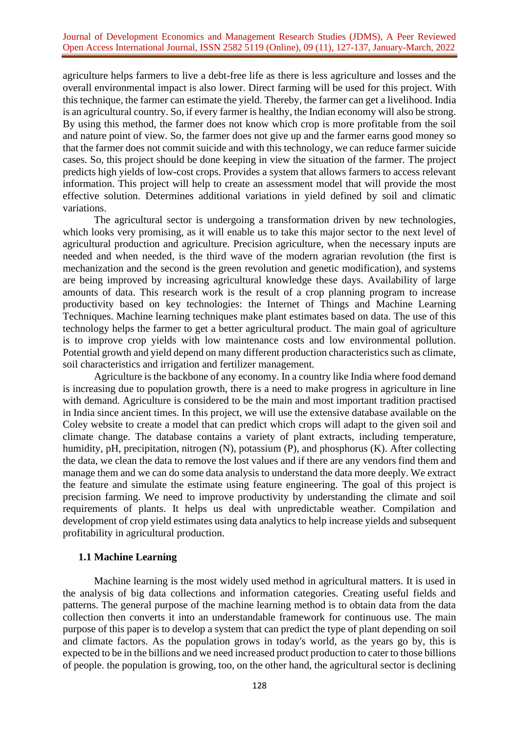agriculture helps farmers to live a debt-free life as there is less agriculture and losses and the overall environmental impact is also lower. Direct farming will be used for this project. With this technique, the farmer can estimate the yield. Thereby, the farmer can get a livelihood. India is an agricultural country. So, if every farmer is healthy, the Indian economy will also be strong. By using this method, the farmer does not know which crop is more profitable from the soil and nature point of view. So, the farmer does not give up and the farmer earns good money so that the farmer does not commit suicide and with this technology, we can reduce farmer suicide cases. So, this project should be done keeping in view the situation of the farmer. The project predicts high yields of low-cost crops. Provides a system that allows farmers to access relevant information. This project will help to create an assessment model that will provide the most effective solution. Determines additional variations in yield defined by soil and climatic variations.

The agricultural sector is undergoing a transformation driven by new technologies, which looks very promising, as it will enable us to take this major sector to the next level of agricultural production and agriculture. Precision agriculture, when the necessary inputs are needed and when needed, is the third wave of the modern agrarian revolution (the first is mechanization and the second is the green revolution and genetic modification), and systems are being improved by increasing agricultural knowledge these days. Availability of large amounts of data. This research work is the result of a crop planning program to increase productivity based on key technologies: the Internet of Things and Machine Learning Techniques. Machine learning techniques make plant estimates based on data. The use of this technology helps the farmer to get a better agricultural product. The main goal of agriculture is to improve crop yields with low maintenance costs and low environmental pollution. Potential growth and yield depend on many different production characteristics such as climate, soil characteristics and irrigation and fertilizer management.

Agriculture is the backbone of any economy. In a country like India where food demand is increasing due to population growth, there is a need to make progress in agriculture in line with demand. Agriculture is considered to be the main and most important tradition practised in India since ancient times. In this project, we will use the extensive database available on the Coley website to create a model that can predict which crops will adapt to the given soil and climate change. The database contains a variety of plant extracts, including temperature, humidity, pH, precipitation, nitrogen (N), potassium (P), and phosphorus (K). After collecting the data, we clean the data to remove the lost values and if there are any vendors find them and manage them and we can do some data analysis to understand the data more deeply. We extract the feature and simulate the estimate using feature engineering. The goal of this project is precision farming. We need to improve productivity by understanding the climate and soil requirements of plants. It helps us deal with unpredictable weather. Compilation and development of crop yield estimates using data analytics to help increase yields and subsequent profitability in agricultural production.

## **1.1 Machine Learning**

Machine learning is the most widely used method in agricultural matters. It is used in the analysis of big data collections and information categories. Creating useful fields and patterns. The general purpose of the machine learning method is to obtain data from the data collection then converts it into an understandable framework for continuous use. The main purpose of this paper is to develop a system that can predict the type of plant depending on soil and climate factors. As the population grows in today's world, as the years go by, this is expected to be in the billions and we need increased product production to cater to those billions of people. the population is growing, too, on the other hand, the agricultural sector is declining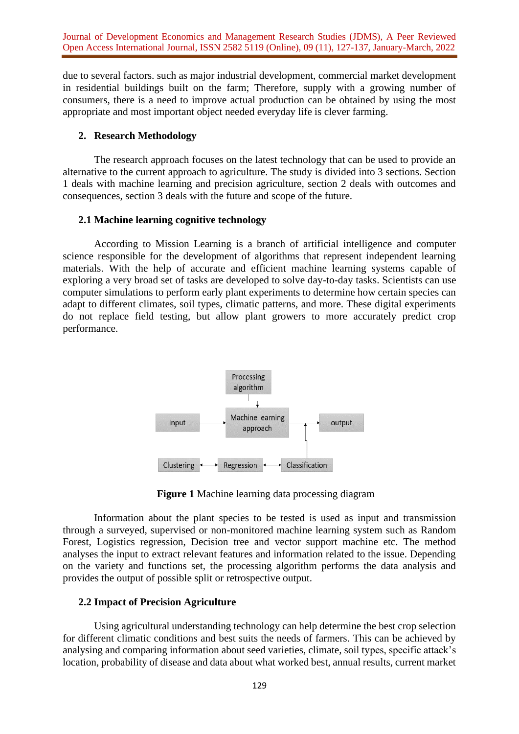Journal of Development Economics and Management Research Studies (JDMS), A Peer Reviewed Open Access International Journal, ISSN 2582 5119 (Online), 09 (11), 127-137, January-March, 2022

due to several factors. such as major industrial development, commercial market development in residential buildings built on the farm; Therefore, supply with a growing number of consumers, there is a need to improve actual production can be obtained by using the most appropriate and most important object needed everyday life is clever farming.

#### **2. Research Methodology**

The research approach focuses on the latest technology that can be used to provide an alternative to the current approach to agriculture. The study is divided into 3 sections. Section 1 deals with machine learning and precision agriculture, section 2 deals with outcomes and consequences, section 3 deals with the future and scope of the future.

#### **2.1 Machine learning cognitive technology**

According to Mission Learning is a branch of artificial intelligence and computer science responsible for the development of algorithms that represent independent learning materials. With the help of accurate and efficient machine learning systems capable of exploring a very broad set of tasks are developed to solve day-to-day tasks. Scientists can use computer simulations to perform early plant experiments to determine how certain species can adapt to different climates, soil types, climatic patterns, and more. These digital experiments do not replace field testing, but allow plant growers to more accurately predict crop performance.



**Figure 1** Machine learning data processing diagram

Information about the plant species to be tested is used as input and transmission through a surveyed, supervised or non-monitored machine learning system such as Random Forest, Logistics regression, Decision tree and vector support machine etc. The method analyses the input to extract relevant features and information related to the issue. Depending on the variety and functions set, the processing algorithm performs the data analysis and provides the output of possible split or retrospective output.

#### **2.2 Impact of Precision Agriculture**

Using agricultural understanding technology can help determine the best crop selection for different climatic conditions and best suits the needs of farmers. This can be achieved by analysing and comparing information about seed varieties, climate, soil types, specific attack's location, probability of disease and data about what worked best, annual results, current market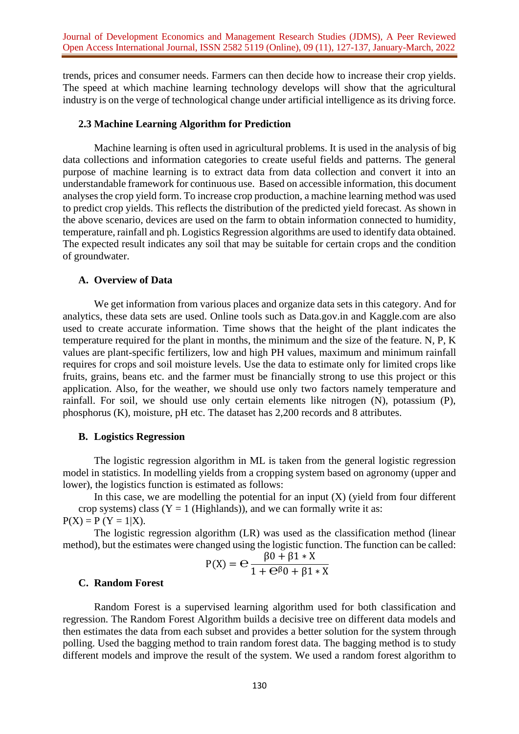trends, prices and consumer needs. Farmers can then decide how to increase their crop yields. The speed at which machine learning technology develops will show that the agricultural industry is on the verge of technological change under artificial intelligence as its driving force.

#### **2.3 Machine Learning Algorithm for Prediction**

Machine learning is often used in agricultural problems. It is used in the analysis of big data collections and information categories to create useful fields and patterns. The general purpose of machine learning is to extract data from data collection and convert it into an understandable framework for continuous use. Based on accessible information, this document analyses the crop yield form. To increase crop production, a machine learning method was used to predict crop yields. This reflects the distribution of the predicted yield forecast. As shown in the above scenario, devices are used on the farm to obtain information connected to humidity, temperature, rainfall and ph. Logistics Regression algorithms are used to identify data obtained. The expected result indicates any soil that may be suitable for certain crops and the condition of groundwater.

## **A. Overview of Data**

We get information from various places and organize data sets in this category. And for analytics, these data sets are used. Online tools such as Data.gov.in and Kaggle.com are also used to create accurate information. Time shows that the height of the plant indicates the temperature required for the plant in months, the minimum and the size of the feature. N, P, K values are plant-specific fertilizers, low and high PH values, maximum and minimum rainfall requires for crops and soil moisture levels. Use the data to estimate only for limited crops like fruits, grains, beans etc. and the farmer must be financially strong to use this project or this application. Also, for the weather, we should use only two factors namely temperature and rainfall. For soil, we should use only certain elements like nitrogen (N), potassium (P), phosphorus (K), moisture, pH etc. The dataset has 2,200 records and 8 attributes.

#### **B. Logistics Regression**

The logistic regression algorithm in ML is taken from the general logistic regression model in statistics. In modelling yields from a cropping system based on agronomy (upper and lower), the logistics function is estimated as follows:

In this case, we are modelling the potential for an input  $(X)$  (yield from four different crop systems) class ( $Y = 1$  (Highlands)), and we can formally write it as:  $P(X) = P(Y = 1|X)$ .

The logistic regression algorithm (LR) was used as the classification method (linear method), but the estimates were changed using the logistic function. The function can be called:

$$
P(X) = \frac{\beta 0 + \beta 1 * X}{1 + \Theta^{\beta} 0 + \beta 1 * X}
$$

#### **C. Random Forest**

Random Forest is a supervised learning algorithm used for both classification and regression. The Random Forest Algorithm builds a decisive tree on different data models and then estimates the data from each subset and provides a better solution for the system through polling. Used the bagging method to train random forest data. The bagging method is to study different models and improve the result of the system. We used a random forest algorithm to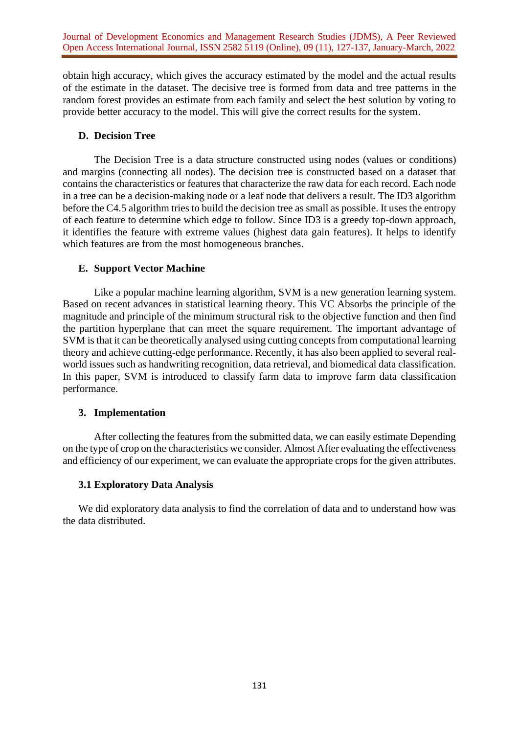Journal of Development Economics and Management Research Studies (JDMS), A Peer Reviewed Open Access International Journal, ISSN 2582 5119 (Online), 09 (11), 127-137, January-March, 2022

obtain high accuracy, which gives the accuracy estimated by the model and the actual results of the estimate in the dataset. The decisive tree is formed from data and tree patterns in the random forest provides an estimate from each family and select the best solution by voting to provide better accuracy to the model. This will give the correct results for the system.

## **D. Decision Tree**

The Decision Tree is a data structure constructed using nodes (values or conditions) and margins (connecting all nodes). The decision tree is constructed based on a dataset that contains the characteristics or features that characterize the raw data for each record. Each node in a tree can be a decision-making node or a leaf node that delivers a result. The ID3 algorithm before the C4.5 algorithm tries to build the decision tree as small as possible. It uses the entropy of each feature to determine which edge to follow. Since ID3 is a greedy top-down approach, it identifies the feature with extreme values (highest data gain features). It helps to identify which features are from the most homogeneous branches.

# **E. Support Vector Machine**

Like a popular machine learning algorithm, SVM is a new generation learning system. Based on recent advances in statistical learning theory. This VC Absorbs the principle of the magnitude and principle of the minimum structural risk to the objective function and then find the partition hyperplane that can meet the square requirement. The important advantage of SVM is that it can be theoretically analysed using cutting concepts from computational learning theory and achieve cutting-edge performance. Recently, it has also been applied to several realworld issues such as handwriting recognition, data retrieval, and biomedical data classification. In this paper, SVM is introduced to classify farm data to improve farm data classification performance.

## **3. Implementation**

After collecting the features from the submitted data, we can easily estimate Depending on the type of crop on the characteristics we consider. Almost After evaluating the effectiveness and efficiency of our experiment, we can evaluate the appropriate crops for the given attributes.

## **3.1 Exploratory Data Analysis**

We did exploratory data analysis to find the correlation of data and to understand how was the data distributed.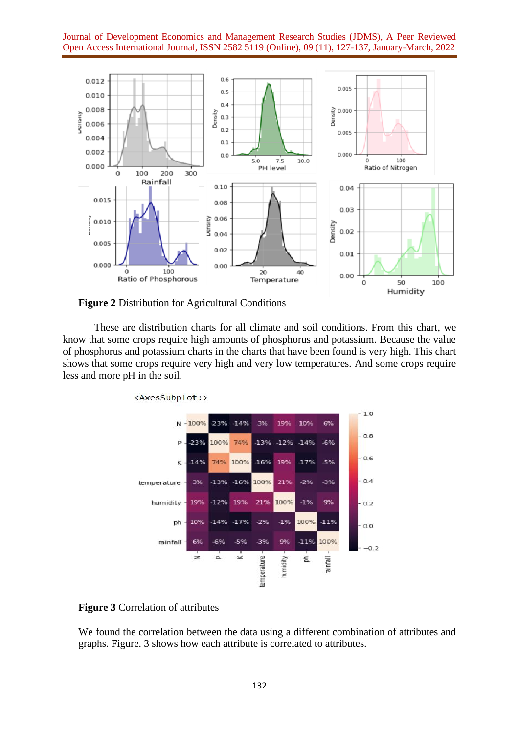Journal of Development Economics and Management Research Studies (JDMS), A Peer Reviewed Open Access International Journal, ISSN 2582 5119 (Online), 09 (11), 127-137, January-March, 2022



**Figure 2** Distribution for Agricultural Conditions

These are distribution charts for all climate and soil conditions. From this chart, we know that some crops require high amounts of phosphorus and potassium. Because the value of phosphorus and potassium charts in the charts that have been found is very high. This chart shows that some crops require very high and very low temperatures. And some crops require less and more pH in the soil.



**Figure 3** Correlation of attributes

We found the correlation between the data using a different combination of attributes and graphs. Figure. 3 shows how each attribute is correlated to attributes.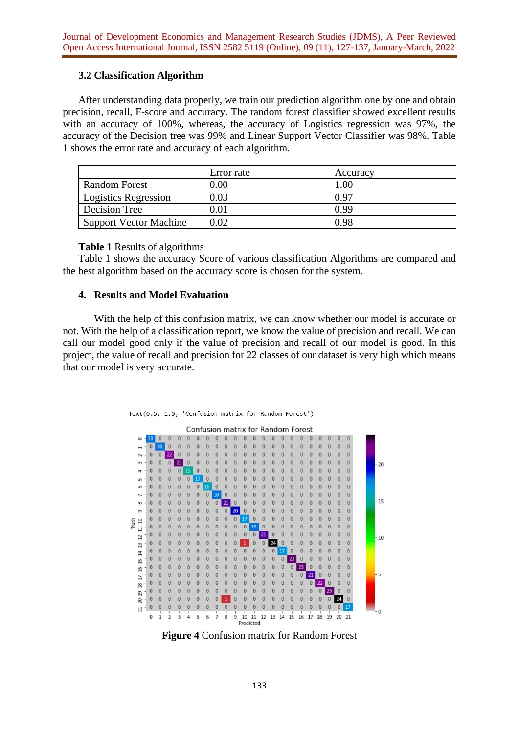# **3.2 Classification Algorithm**

After understanding data properly, we train our prediction algorithm one by one and obtain precision, recall, F-score and accuracy. The random forest classifier showed excellent results with an accuracy of 100%, whereas, the accuracy of Logistics regression was 97%, the accuracy of the Decision tree was 99% and Linear Support Vector Classifier was 98%. Table 1 shows the error rate and accuracy of each algorithm.

|                        | Error rate | Accuracy |
|------------------------|------------|----------|
| <b>Random Forest</b>   | 0.00       | 0.01     |
| Logistics Regression   | 0.03       | 0.97     |
| Decision Tree          | $0.01\,$   | 0.99     |
| Support Vector Machine | 0.02       | 0.98     |

## **Table 1** Results of algorithms

Table 1 shows the accuracy Score of various classification Algorithms are compared and the best algorithm based on the accuracy score is chosen for the system.

## **4. Results and Model Evaluation**

With the help of this confusion matrix, we can know whether our model is accurate or not. With the help of a classification report, we know the value of precision and recall. We can call our model good only if the value of precision and recall of our model is good. In this project, the value of recall and precision for 22 classes of our dataset is very high which means that our model is very accurate.





**Figure 4** Confusion matrix for Random Forest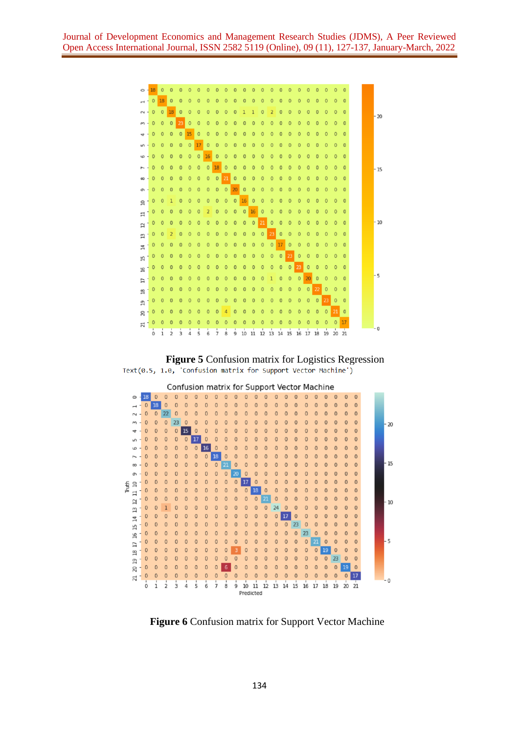





**Figure 6** Confusion matrix for Support Vector Machine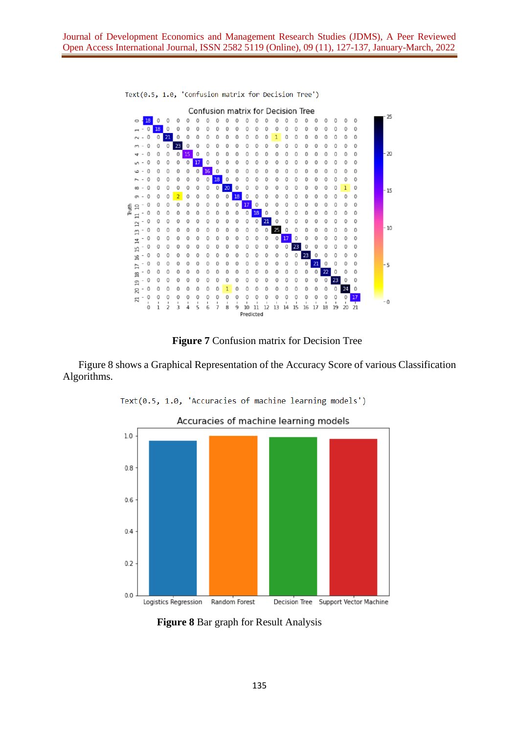

Text(0.5, 1.0, 'Confusion matrix for Decision Tree')

#### **Figure 7** Confusion matrix for Decision Tree

Figure 8 shows a Graphical Representation of the Accuracy Score of various Classification Algorithms.



**Figure 8** Bar graph for Result Analysis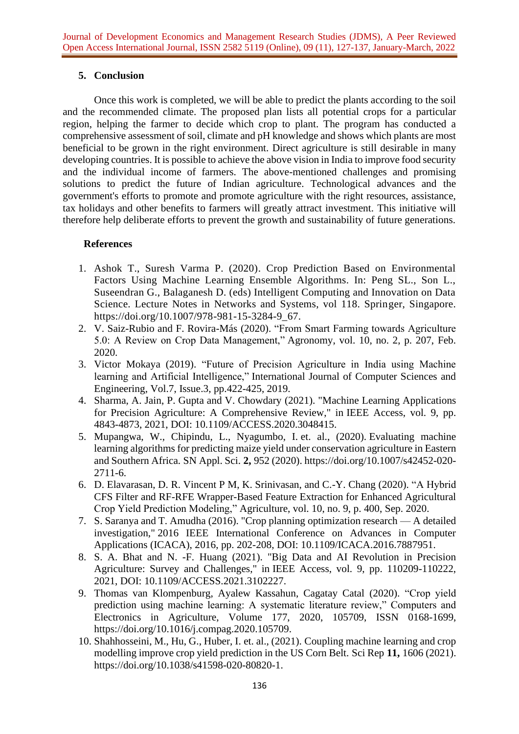# **5. Conclusion**

Once this work is completed, we will be able to predict the plants according to the soil and the recommended climate. The proposed plan lists all potential crops for a particular region, helping the farmer to decide which crop to plant. The program has conducted a comprehensive assessment of soil, climate and pH knowledge and shows which plants are most beneficial to be grown in the right environment. Direct agriculture is still desirable in many developing countries. It is possible to achieve the above vision in India to improve food security and the individual income of farmers. The above-mentioned challenges and promising solutions to predict the future of Indian agriculture. Technological advances and the government's efforts to promote and promote agriculture with the right resources, assistance, tax holidays and other benefits to farmers will greatly attract investment. This initiative will therefore help deliberate efforts to prevent the growth and sustainability of future generations.

# **References**

- 1. Ashok T., Suresh Varma P. (2020). Crop Prediction Based on Environmental Factors Using Machine Learning Ensemble Algorithms. In: Peng SL., Son L., Suseendran G., Balaganesh D. (eds) Intelligent Computing and Innovation on Data Science. Lecture Notes in Networks and Systems, vol 118. Springer, Singapore. [https://doi.org/10.1007/978-981-15-3284-9\\_67.](https://doi.org/10.1007/978-981-15-3284-9_67)
- 2. V. Saiz-Rubio and F. Rovira-Más (2020). "From Smart Farming towards Agriculture 5.0: A Review on Crop Data Management," Agronomy, vol. 10, no. 2, p. 207, Feb. 2020.
- 3. Victor Mokaya (2019). "Future of Precision Agriculture in India using Machine learning and Artificial Intelligence," International Journal of Computer Sciences and Engineering, Vol.7, Issue.3, pp.422-425, 2019.
- 4. Sharma, A. Jain, P. Gupta and V. Chowdary (2021). "Machine Learning Applications for Precision Agriculture: A Comprehensive Review," in IEEE Access, vol. 9, pp. 4843-4873, 2021, DOI: 10.1109/ACCESS.2020.3048415.
- 5. Mupangwa, W., Chipindu, L., Nyagumbo, I. et. al., (2020). Evaluating machine learning algorithms for predicting maize yield under conservation agriculture in Eastern and Southern Africa. SN Appl. Sci. **2,** 952 (2020). [https://doi.org/10.1007/s42452-020-](https://doi.org/10.1007/s42452-020-2711-6) [2711-6.](https://doi.org/10.1007/s42452-020-2711-6)
- 6. D. Elavarasan, D. R. Vincent P M, K. Srinivasan, and C.-Y. Chang (2020). "A Hybrid CFS Filter and RF-RFE Wrapper-Based Feature Extraction for Enhanced Agricultural Crop Yield Prediction Modeling," Agriculture, vol. 10, no. 9, p. 400, Sep. 2020.
- 7. S. Saranya and T. Amudha (2016). "Crop planning optimization research A detailed investigation," 2016 IEEE International Conference on Advances in Computer Applications (ICACA), 2016, pp. 202-208, DOI: 10.1109/ICACA.2016.7887951.
- 8. S. A. Bhat and N. -F. Huang (2021). "Big Data and AI Revolution in Precision Agriculture: Survey and Challenges," in IEEE Access, vol. 9, pp. 110209-110222, 2021, DOI: 10.1109/ACCESS.2021.3102227.
- 9. Thomas van Klompenburg, Ayalew Kassahun, Cagatay Catal (2020). "Crop yield prediction using machine learning: A systematic literature review," Computers and Electronics in Agriculture, Volume 177, 2020, 105709, ISSN 0168-1699, [https://doi.org/10.1016/j.compag.2020.105709.](https://doi.org/10.1016/j.compag.2020.105709)
- 10. Shahhosseini, M., Hu, G., Huber, I. et. al., (2021). Coupling machine learning and crop modelling improve crop yield prediction in the US Corn Belt. Sci Rep **11,** 1606 (2021). [https://doi.org/10.1038/s41598-020-80820-1.](https://doi.org/10.1038/s41598-020-80820-1)